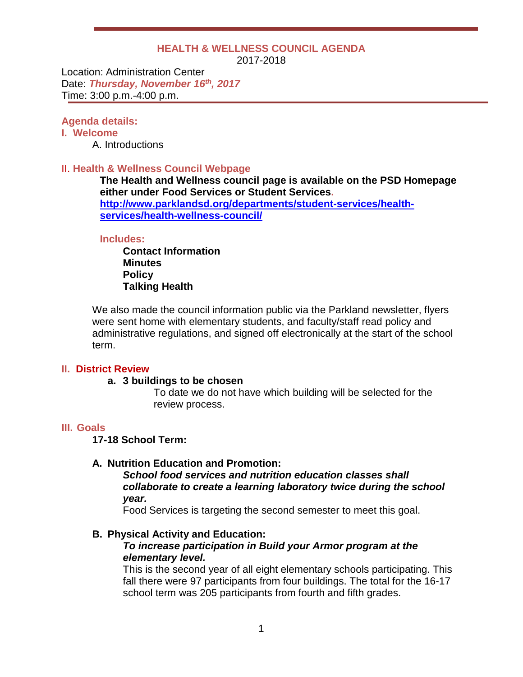### **HEALTH & WELLNESS COUNCIL AGENDA**

2017-2018

Location: Administration Center Date: *Thursday, November 16th, 2017* Time: 3:00 p.m.-4:00 p.m.

### **Agenda details:**

## **I. Welcome**

A. Introductions

### II. **Health & Wellness Council Webpage**

**The Health and Wellness council page is available on the PSD Homepage either under Food Services or Student Services. [http://www.parklandsd.org/departments/student-services/health](http://www.parklandsd.org/departments/student-services/health-services/health-wellness-council/)[services/health-wellness-council/](http://www.parklandsd.org/departments/student-services/health-services/health-wellness-council/)**

#### **Includes:**

**Contact Information Minutes Policy Talking Health**

We also made the council information public via the Parkland newsletter, flyers were sent home with elementary students, and faculty/staff read policy and administrative regulations, and signed off electronically at the start of the school term.

### **II. District Review**

### **a. 3 buildings to be chosen**

To date we do not have which building will be selected for the review process.

## **III. Goals**

**17-18 School Term:**

## **A. Nutrition Education and Promotion:**

*School food services and nutrition education classes shall collaborate to create a learning laboratory twice during the school year.*

Food Services is targeting the second semester to meet this goal.

## **B. Physical Activity and Education:**

### *To increase participation in Build your Armor program at the elementary level.*

This is the second year of all eight elementary schools participating. This fall there were 97 participants from four buildings. The total for the 16-17 school term was 205 participants from fourth and fifth grades.